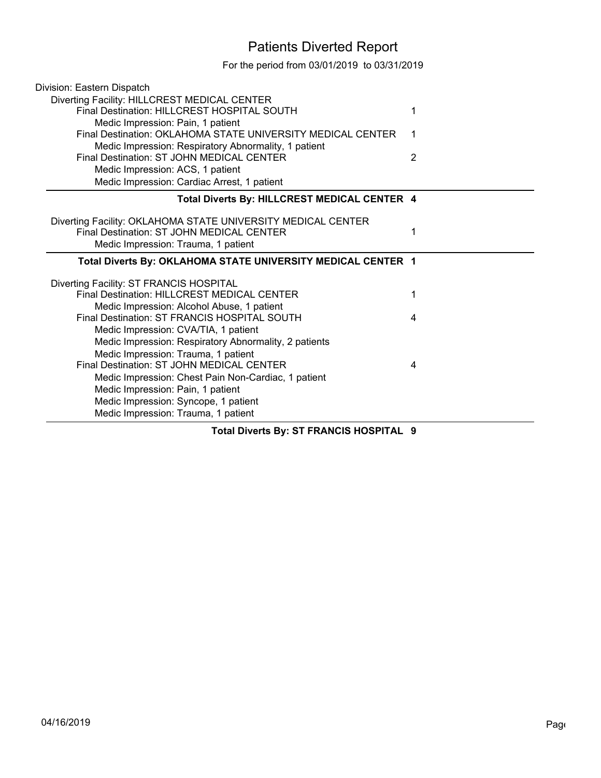## Patients Diverted Report

For the period from 03/01/2019 to 03/31/2019

| Division: Eastern Dispatch                                                                        |   |  |
|---------------------------------------------------------------------------------------------------|---|--|
| Diverting Facility: HILLCREST MEDICAL CENTER                                                      |   |  |
| Final Destination: HILLCREST HOSPITAL SOUTH                                                       | 1 |  |
| Medic Impression: Pain, 1 patient                                                                 |   |  |
| Final Destination: OKLAHOMA STATE UNIVERSITY MEDICAL CENTER                                       | 1 |  |
| Medic Impression: Respiratory Abnormality, 1 patient<br>Final Destination: ST JOHN MEDICAL CENTER | 2 |  |
|                                                                                                   |   |  |
| Medic Impression: ACS, 1 patient<br>Medic Impression: Cardiac Arrest, 1 patient                   |   |  |
|                                                                                                   |   |  |
| Total Diverts By: HILLCREST MEDICAL CENTER 4                                                      |   |  |
| Diverting Facility: OKLAHOMA STATE UNIVERSITY MEDICAL CENTER                                      |   |  |
| Final Destination: ST JOHN MEDICAL CENTER                                                         | 1 |  |
| Medic Impression: Trauma, 1 patient                                                               |   |  |
|                                                                                                   |   |  |
| Total Diverts By: OKLAHOMA STATE UNIVERSITY MEDICAL CENTER 1                                      |   |  |
|                                                                                                   |   |  |
| Diverting Facility: ST FRANCIS HOSPITAL<br><b>Final Destination: HILLCREST MEDICAL CENTER</b>     | 1 |  |
| Medic Impression: Alcohol Abuse, 1 patient                                                        |   |  |
| Final Destination: ST FRANCIS HOSPITAL SOUTH                                                      | 4 |  |
| Medic Impression: CVA/TIA, 1 patient                                                              |   |  |
| Medic Impression: Respiratory Abnormality, 2 patients                                             |   |  |
| Medic Impression: Trauma, 1 patient                                                               |   |  |
| Final Destination: ST JOHN MEDICAL CENTER                                                         | 4 |  |
| Medic Impression: Chest Pain Non-Cardiac, 1 patient                                               |   |  |
| Medic Impression: Pain, 1 patient                                                                 |   |  |
| Medic Impression: Syncope, 1 patient<br>Medic Impression: Trauma, 1 patient                       |   |  |

**Total Diverts By: ST FRANCIS HOSPITAL 9**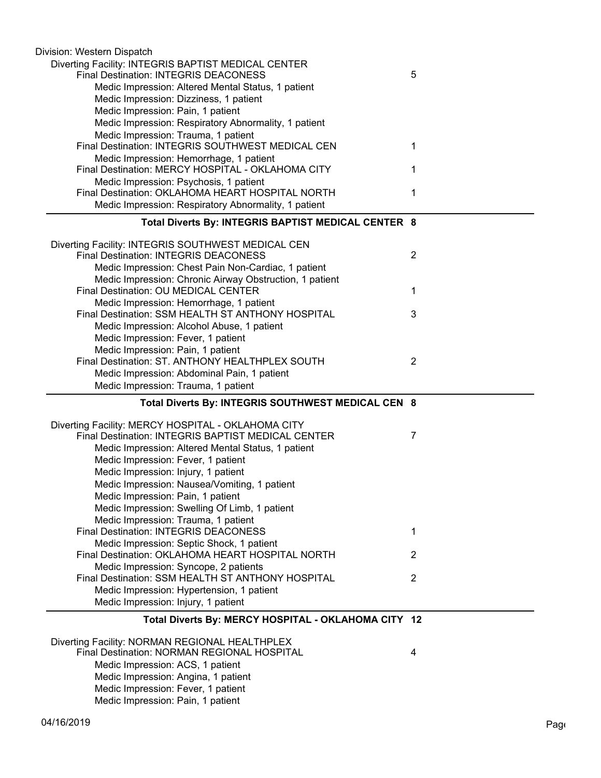| Division: Western Dispatch                                                                    |                |
|-----------------------------------------------------------------------------------------------|----------------|
| Diverting Facility: INTEGRIS BAPTIST MEDICAL CENTER                                           |                |
| <b>Final Destination: INTEGRIS DEACONESS</b>                                                  | 5              |
| Medic Impression: Altered Mental Status, 1 patient                                            |                |
| Medic Impression: Dizziness, 1 patient                                                        |                |
| Medic Impression: Pain, 1 patient                                                             |                |
| Medic Impression: Respiratory Abnormality, 1 patient                                          |                |
| Medic Impression: Trauma, 1 patient                                                           |                |
| Final Destination: INTEGRIS SOUTHWEST MEDICAL CEN                                             | 1              |
| Medic Impression: Hemorrhage, 1 patient                                                       |                |
| Final Destination: MERCY HOSPITAL - OKLAHOMA CITY                                             | 1              |
| Medic Impression: Psychosis, 1 patient                                                        |                |
| Final Destination: OKLAHOMA HEART HOSPITAL NORTH                                              | 1              |
| Medic Impression: Respiratory Abnormality, 1 patient                                          |                |
| Total Diverts By: INTEGRIS BAPTIST MEDICAL CENTER 8                                           |                |
|                                                                                               |                |
| Diverting Facility: INTEGRIS SOUTHWEST MEDICAL CEN                                            |                |
| <b>Final Destination: INTEGRIS DEACONESS</b>                                                  | $\overline{2}$ |
| Medic Impression: Chest Pain Non-Cardiac, 1 patient                                           |                |
| Medic Impression: Chronic Airway Obstruction, 1 patient                                       |                |
| Final Destination: OU MEDICAL CENTER                                                          | 1              |
| Medic Impression: Hemorrhage, 1 patient                                                       |                |
| Final Destination: SSM HEALTH ST ANTHONY HOSPITAL                                             | 3              |
| Medic Impression: Alcohol Abuse, 1 patient                                                    |                |
| Medic Impression: Fever, 1 patient                                                            |                |
| Medic Impression: Pain, 1 patient                                                             |                |
| Final Destination: ST. ANTHONY HEALTHPLEX SOUTH                                               | $\overline{c}$ |
| Medic Impression: Abdominal Pain, 1 patient                                                   |                |
|                                                                                               |                |
| Medic Impression: Trauma, 1 patient                                                           |                |
| Total Diverts By: INTEGRIS SOUTHWEST MEDICAL CEN 8                                            |                |
|                                                                                               |                |
| Diverting Facility: MERCY HOSPITAL - OKLAHOMA CITY                                            |                |
| Final Destination: INTEGRIS BAPTIST MEDICAL CENTER                                            | 7              |
| Medic Impression: Altered Mental Status, 1 patient                                            |                |
| Medic Impression: Fever, 1 patient                                                            |                |
| Medic Impression: Injury, 1 patient                                                           |                |
| Medic Impression: Nausea/Vomiting, 1 patient                                                  |                |
| Medic Impression: Pain, 1 patient                                                             |                |
| Medic Impression: Swelling Of Limb, 1 patient                                                 |                |
| Medic Impression: Trauma, 1 patient                                                           |                |
| <b>Final Destination: INTEGRIS DEACONESS</b>                                                  | 1              |
| Medic Impression: Septic Shock, 1 patient                                                     |                |
| Final Destination: OKLAHOMA HEART HOSPITAL NORTH                                              | 2              |
| Medic Impression: Syncope, 2 patients                                                         |                |
| Final Destination: SSM HEALTH ST ANTHONY HOSPITAL                                             | $\overline{2}$ |
| Medic Impression: Hypertension, 1 patient                                                     |                |
| Medic Impression: Injury, 1 patient                                                           |                |
| Total Diverts By: MERCY HOSPITAL - OKLAHOMA CITY 12                                           |                |
|                                                                                               |                |
| Diverting Facility: NORMAN REGIONAL HEALTHPLEX<br>Final Destination: NORMAN REGIONAL HOSPITAL | 4              |
| Medic Impression: ACS, 1 patient                                                              |                |
| Medic Impression: Angina, 1 patient                                                           |                |
| Medic Impression: Fever, 1 patient                                                            |                |
| Medic Impression: Pain, 1 patient                                                             |                |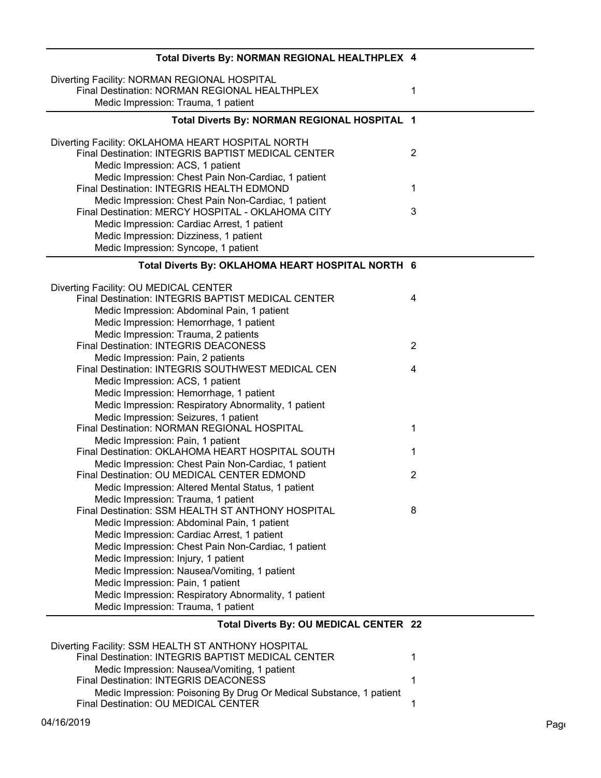| Total Diverts By: NORMAN REGIONAL HEALTHPLEX 4                                                                                                          |                |
|---------------------------------------------------------------------------------------------------------------------------------------------------------|----------------|
| Diverting Facility: NORMAN REGIONAL HOSPITAL<br>Final Destination: NORMAN REGIONAL HEALTHPLEX<br>Medic Impression: Trauma, 1 patient                    | 1              |
| Total Diverts By: NORMAN REGIONAL HOSPITAL 1                                                                                                            |                |
| Diverting Facility: OKLAHOMA HEART HOSPITAL NORTH<br>Final Destination: INTEGRIS BAPTIST MEDICAL CENTER<br>Medic Impression: ACS, 1 patient             | $\overline{2}$ |
| Medic Impression: Chest Pain Non-Cardiac, 1 patient<br>Final Destination: INTEGRIS HEALTH EDMOND                                                        | 1              |
| Medic Impression: Chest Pain Non-Cardiac, 1 patient<br>Final Destination: MERCY HOSPITAL - OKLAHOMA CITY<br>Medic Impression: Cardiac Arrest, 1 patient | 3              |
| Medic Impression: Dizziness, 1 patient<br>Medic Impression: Syncope, 1 patient                                                                          |                |
| Total Diverts By: OKLAHOMA HEART HOSPITAL NORTH 6                                                                                                       |                |
| Diverting Facility: OU MEDICAL CENTER                                                                                                                   |                |
| Final Destination: INTEGRIS BAPTIST MEDICAL CENTER                                                                                                      | 4              |
| Medic Impression: Abdominal Pain, 1 patient<br>Medic Impression: Hemorrhage, 1 patient                                                                  |                |
| Medic Impression: Trauma, 2 patients                                                                                                                    |                |
| <b>Final Destination: INTEGRIS DEACONESS</b>                                                                                                            | $\overline{2}$ |
| Medic Impression: Pain, 2 patients                                                                                                                      |                |
| Final Destination: INTEGRIS SOUTHWEST MEDICAL CEN                                                                                                       | 4              |
| Medic Impression: ACS, 1 patient                                                                                                                        |                |
| Medic Impression: Hemorrhage, 1 patient                                                                                                                 |                |
| Medic Impression: Respiratory Abnormality, 1 patient                                                                                                    |                |
| Medic Impression: Seizures, 1 patient                                                                                                                   |                |
| Final Destination: NORMAN REGIONAL HOSPITAL                                                                                                             | 1              |
| Medic Impression: Pain, 1 patient                                                                                                                       |                |
| Final Destination: OKLAHOMA HEART HOSPITAL SOUTH                                                                                                        | 1              |
| Medic Impression: Chest Pain Non-Cardiac, 1 patient<br>Final Destination: OU MEDICAL CENTER EDMOND                                                      | 2              |
| Medic Impression: Altered Mental Status, 1 patient                                                                                                      |                |
| Medic Impression: Trauma, 1 patient                                                                                                                     |                |
| Final Destination: SSM HEALTH ST ANTHONY HOSPITAL                                                                                                       | 8              |
| Medic Impression: Abdominal Pain, 1 patient                                                                                                             |                |
| Medic Impression: Cardiac Arrest, 1 patient                                                                                                             |                |
| Medic Impression: Chest Pain Non-Cardiac, 1 patient                                                                                                     |                |
| Medic Impression: Injury, 1 patient                                                                                                                     |                |
| Medic Impression: Nausea/Vomiting, 1 patient                                                                                                            |                |
| Medic Impression: Pain, 1 patient                                                                                                                       |                |
| Medic Impression: Respiratory Abnormality, 1 patient                                                                                                    |                |
| Medic Impression: Trauma, 1 patient                                                                                                                     |                |
| Total Diverts By: OU MEDICAL CENTER 22                                                                                                                  |                |

| Diverting Facility: SSM HEALTH ST ANTHONY HOSPITAL                  |  |
|---------------------------------------------------------------------|--|
| Final Destination: INTEGRIS BAPTIST MEDICAL CENTER                  |  |
| Medic Impression: Nausea/Vomiting, 1 patient                        |  |
| Final Destination: INTEGRIS DEACONESS                               |  |
| Medic Impression: Poisoning By Drug Or Medical Substance, 1 patient |  |
|                                                                     |  |
| Final Destination: OU MEDICAL CENTER                                |  |